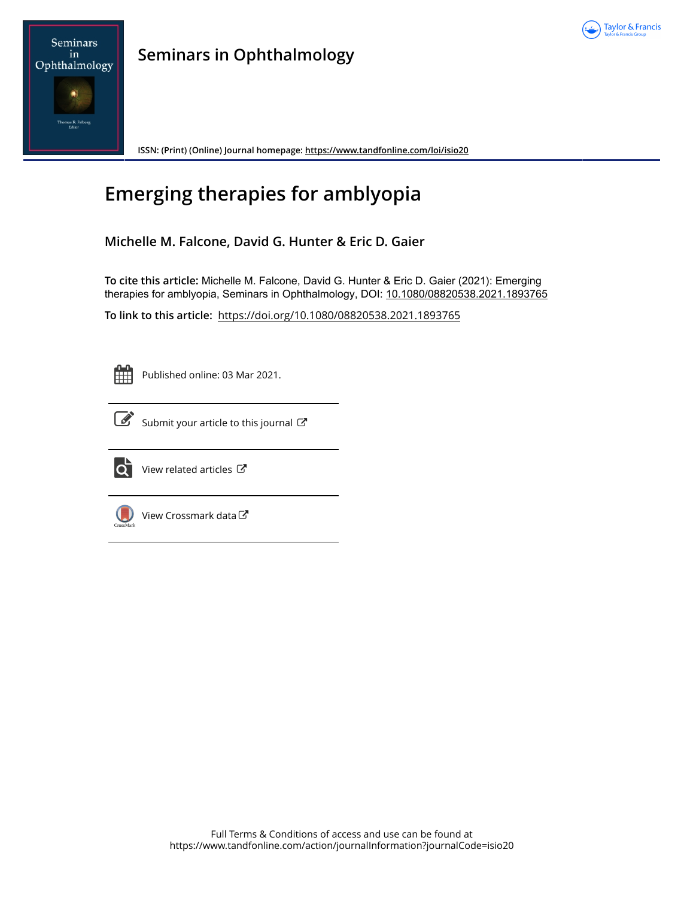



**ISSN: (Print) (Online) Journal homepage:<https://www.tandfonline.com/loi/isio20>**

# **Emerging therapies for amblyopia**

**Michelle M. Falcone, David G. Hunter & Eric D. Gaier**

**To cite this article:** Michelle M. Falcone, David G. Hunter & Eric D. Gaier (2021): Emerging therapies for amblyopia, Seminars in Ophthalmology, DOI: [10.1080/08820538.2021.1893765](https://www.tandfonline.com/action/showCitFormats?doi=10.1080/08820538.2021.1893765)

**To link to this article:** <https://doi.org/10.1080/08820538.2021.1893765>

Published online: 03 Mar 2021.



[Submit your article to this journal](https://www.tandfonline.com/action/authorSubmission?journalCode=isio20&show=instructions)  $\mathbb{Z}$ 



 $\overline{\mathbf{C}}$  [View related articles](https://www.tandfonline.com/doi/mlt/10.1080/08820538.2021.1893765)  $\mathbf{C}$ 



 $\bigcirc$  [View Crossmark data](http://crossmark.crossref.org/dialog/?doi=10.1080/08820538.2021.1893765&domain=pdf&date_stamp=2021-03-03) $\mathbb{Z}$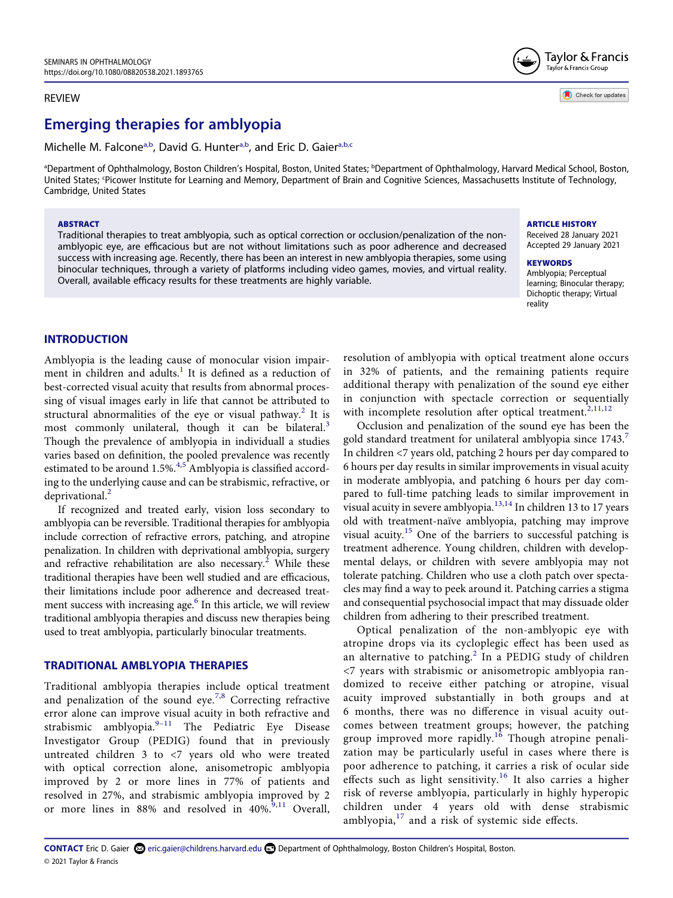#### REVIEW

# **Emerging therapies for amblyopia**

Michelle M. Falcone<sup>[a,b](#page-1-0)</sup>, David G. Hunte[ra,b,](#page-1-0) and Eric D. Gaie[ra,b](#page-1-0)[,c](#page-1-1)

<span id="page-1-1"></span><span id="page-1-0"></span><sup>a</sup>Department of Ophthalmology, Boston Children's Hospital, Boston, United States; <sup>b</sup>Department of Ophthalmology, Harvard Medical School, Boston, United States; <sup>c</sup>Picower Institute for Learning and Memory, Department of Brain and Cognitive Sciences, Massachusetts Institute of Technology, Cambridge, United States

#### **ABSTRACT**

Traditional therapies to treat amblyopia, such as optical correction or occlusion/penalization of the nonamblyopic eye, are efficacious but are not without limitations such as poor adherence and decreased success with increasing age. Recently, there has been an interest in new amblyopia therapies, some using binocular techniques, through a variety of platforms including video games, movies, and virtual reality. Overall, available efficacy results for these treatments are highly variable.

# **ARTICLE HISTORY**

Received 28 January 2021 Accepted 29 January 2021

Taylor & Francis Taylor & Francis Group

Check for updates

**KEYWORDS**  Amblyopia; Perceptual learning; Binocular therapy; Dichoptic therapy; Virtual reality

# **INTRODUCTION**

<span id="page-1-4"></span><span id="page-1-2"></span>Amblyopia is the leading cause of monocular vision impairment in children and adults. $<sup>1</sup>$  It is defined as a reduction of</sup> best-corrected visual acuity that results from abnormal processing of visual images early in life that cannot be attributed to structural abnormalities of the eye or visual pathway.<sup>[2](#page-6-1)</sup> It is most commonly unilateral, though it can be bilateral.<sup>3</sup> Though the prevalence of amblyopia in individuall a studies varies based on definition, the pooled prevalence was recently estimated to be around 1.[5](#page-6-4)%. $4.5$  Amblyopia is classified according to the underlying cause and can be strabismic, refractive, or deprivational.<sup>[2](#page-6-1)</sup>

<span id="page-1-5"></span>If recognized and treated early, vision loss secondary to amblyopia can be reversible. Traditional therapies for amblyopia include correction of refractive errors, patching, and atropine penalization. In children with deprivational amblyopia, surgery and refractive rehabilitation are also necessary.<sup>2</sup> While these traditional therapies have been well studied and are efficacious, their limitations include poor adherence and decreased treatment success with increasing age.<sup>6</sup> In this article, we will review traditional amblyopia therapies and discuss new therapies being used to treat amblyopia, particularly binocular treatments.

# <span id="page-1-6"></span>**TRADITIONAL AMBLYOPIA THERAPIES**

<span id="page-1-9"></span><span id="page-1-8"></span>Traditional amblyopia therapies include optical treatment and penalization of the sound eye.<sup>[7](#page-6-6),8</sup> Correcting refractive error alone can improve visual acuity in both refractive and strabismic amblyopia. $9-11$  The Pediatric Eye Disease Investigator Group (PEDIG) found that in previously untreated children 3 to <7 years old who were treated with optical correction alone, anisometropic amblyopia improved by 2 or more lines in 77% of patients and resolved in 27%, and strabismic amblyopia improved by 2 or more lines in 88% and resolved in  $40\%^{9,11}$  $40\%^{9,11}$  $40\%^{9,11}$  Overall, resolution of amblyopia with optical treatment alone occurs in 32% of patients, and the remaining patients require additional therapy with penalization of the sound eye either in conjunction with spectacle correction or sequentially with incomplete resolution after optical treatment.<sup>[2,](#page-6-1)[11](#page-6-9),[12](#page-6-10)</sup>

<span id="page-1-11"></span><span id="page-1-10"></span><span id="page-1-7"></span>Occlusion and penalization of the sound eye has been the gold standard treatment for unilateral amblyopia since  $1743$ .<sup>7</sup> In children <7 years old, patching 2 hours per day compared to 6 hours per day results in similar improvements in visual acuity in moderate amblyopia, and patching 6 hours per day compared to full-time patching leads to similar improvement in visual acuity in severe amblyopia. $13,14$  $13,14$  In children 13 to 17 years old with treatment-naïve amblyopia, patching may improve visual acuity.<sup>[15](#page-6-13)</sup> One of the barriers to successful patching is treatment adherence. Young children, children with developmental delays, or children with severe amblyopia may not tolerate patching. Children who use a cloth patch over spectacles may find a way to peek around it. Patching carries a stigma and consequential psychosocial impact that may dissuade older children from adhering to their prescribed treatment.

<span id="page-1-14"></span><span id="page-1-13"></span><span id="page-1-12"></span><span id="page-1-3"></span>Optical penalization of the non-amblyopic eye with atropine drops via its cycloplegic effect has been used as an alternative to patching.<sup>[2](#page-6-1)</sup> In a PEDIG study of children <7 years with strabismic or anisometropic amblyopia randomized to receive either patching or atropine, visual acuity improved substantially in both groups and at 6 months, there was no difference in visual acuity outcomes between treatment groups; however, the patching group improved more rapidly.<sup>16</sup> Though atropine penalization may be particularly useful in cases where there is poor adherence to patching, it carries a risk of ocular side effects such as light sensitivity.<sup>[16](#page-6-14)</sup> It also carries a higher risk of reverse amblyopia, particularly in highly hyperopic children under 4 years old with dense strabismic amblyopia, $17$  and a risk of systemic side effects.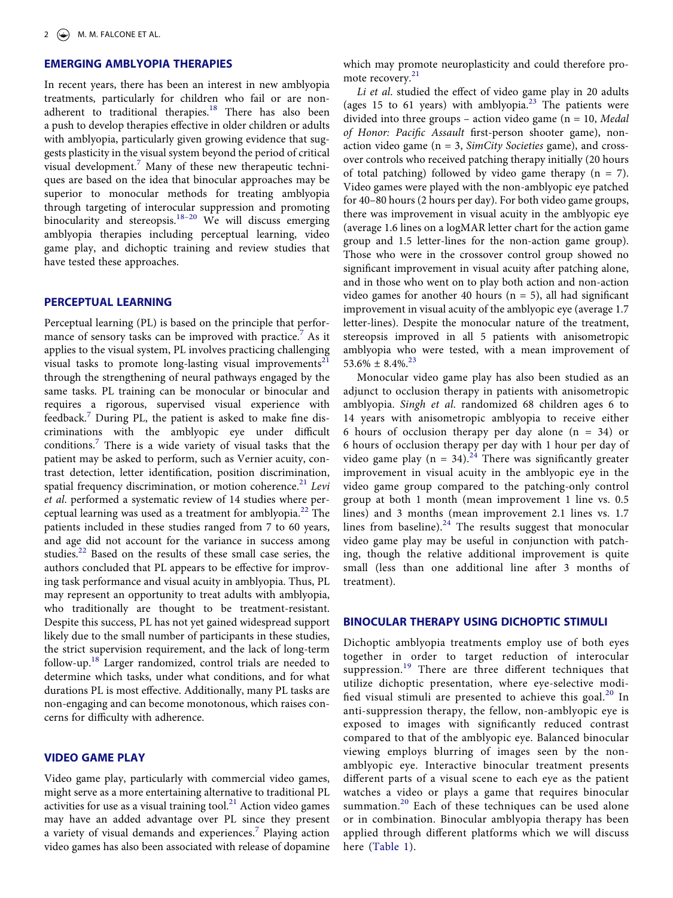# **EMERGING AMBLYOPIA THERAPIES**

In recent years, there has been an interest in new amblyopia treatments, particularly for children who fail or are nonadherent to traditional therapies.<sup>18</sup> There has also been a push to develop therapies effective in older children or adults with amblyopia, particularly given growing evidence that suggests plasticity in the visual system beyond the period of critical visual development.<sup>[7](#page-6-6)</sup> Many of these new therapeutic techniques are based on the idea that binocular approaches may be superior to monocular methods for treating amblyopia through targeting of interocular suppression and promoting binocularity and stereopsis.<sup>18–20</sup> We will discuss emerging amblyopia therapies including perceptual learning, video game play, and dichoptic training and review studies that have tested these approaches.

#### **PERCEPTUAL LEARNING**

Perceptual learning (PL) is based on the principle that perfor-mance of sensory tasks can be improved with practice.<sup>[7](#page-6-6)</sup> As it applies to the visual system, PL involves practicing challenging visual tasks to promote long-lasting visual improvements $^{21}$  $^{21}$  $^{21}$ through the strengthening of neural pathways engaged by the same tasks. PL training can be monocular or binocular and requires a rigorous, supervised visual experience with feedback.<sup>[7](#page-6-6)</sup> During PL, the patient is asked to make fine discriminations with the amblyopic eye under difficult conditions.[7](#page-6-6) There is a wide variety of visual tasks that the patient may be asked to perform, such as Vernier acuity, contrast detection, letter identification, position discrimination, spatial frequency discrimination, or motion coherence.<sup>[21](#page-6-17)</sup> Levi *et al*. performed a systematic review of 14 studies where perceptual learning was used as a treatment for amblyopia. $^{22}$  The patients included in these studies ranged from 7 to 60 years, and age did not account for the variance in success among studies.<sup>22</sup> Based on the results of these small case series, the authors concluded that PL appears to be effective for improving task performance and visual acuity in amblyopia. Thus, PL may represent an opportunity to treat adults with amblyopia, who traditionally are thought to be treatment-resistant. Despite this success, PL has not yet gained widespread support likely due to the small number of participants in these studies, the strict supervision requirement, and the lack of long-term follow-up[.18](#page-6-16) Larger randomized, control trials are needed to determine which tasks, under what conditions, and for what durations PL is most effective. Additionally, many PL tasks are non-engaging and can become monotonous, which raises concerns for difficulty with adherence.

# <span id="page-2-4"></span><span id="page-2-0"></span>**VIDEO GAME PLAY**

Video game play, particularly with commercial video games, might serve as a more entertaining alternative to traditional PL activities for use as a visual training tool. $^{21}$  Action video games may have an added advantage over PL since they present a variety of visual demands and experiences.<sup>7</sup> Playing action video games has also been associated with release of dopamine <span id="page-2-3"></span>which may promote neuroplasticity and could therefore pro-mote recovery.<sup>[21](#page-6-17)</sup>

*Li et al*. studied the effect of video game play in 20 adults (ages 15 to 61 years) with amblyopia.<sup>23</sup> The patients were divided into three groups – action video game (n = 10, *Medal of Honor: Pacific Assault* first-person shooter game), nonaction video game (n = 3, *SimCity Societies* game), and crossover controls who received patching therapy initially (20 hours of total patching) followed by video game therapy  $(n = 7)$ . Video games were played with the non-amblyopic eye patched for 40–80 hours (2 hours per day). For both video game groups, there was improvement in visual acuity in the amblyopic eye (average 1.6 lines on a logMAR letter chart for the action game group and 1.5 letter-lines for the non-action game group). Those who were in the crossover control group showed no significant improvement in visual acuity after patching alone, and in those who went on to play both action and non-action video games for another 40 hours  $(n = 5)$ , all had significant improvement in visual acuity of the amblyopic eye (average 1.7 letter-lines). Despite the monocular nature of the treatment, stereopsis improved in all 5 patients with anisometropic amblyopia who were tested, with a mean improvement of  $53.6\% \pm 8.4\%$ <sup>23</sup>

<span id="page-2-5"></span>Monocular video game play has also been studied as an adjunct to occlusion therapy in patients with anisometropic amblyopia. *Singh et al*. randomized 68 children ages 6 to 14 years with anisometropic amblyopia to receive either 6 hours of occlusion therapy per day alone (n = 34) or 6 hours of occlusion therapy per day with 1 hour per day of video game play (n = 34).<sup>24</sup> There was significantly greater improvement in visual acuity in the amblyopic eye in the video game group compared to the patching-only control group at both 1 month (mean improvement 1 line vs. 0.5 lines) and 3 months (mean improvement 2.1 lines vs. 1.7 lines from baseline). $24$  The results suggest that monocular video game play may be useful in conjunction with patching, though the relative additional improvement is quite small (less than one additional line after 3 months of treatment).

#### <span id="page-2-6"></span>**BINOCULAR THERAPY USING DICHOPTIC STIMULI**

<span id="page-2-2"></span><span id="page-2-1"></span>Dichoptic amblyopia treatments employ use of both eyes together in order to target reduction of interocular suppression.<sup>[19](#page-6-21)</sup> There are three different techniques that utilize dichoptic presentation, where eye-selective modified visual stimuli are presented to achieve this goal. $20$  In anti-suppression therapy, the fellow, non-amblyopic eye is exposed to images with significantly reduced contrast compared to that of the amblyopic eye. Balanced binocular viewing employs blurring of images seen by the nonamblyopic eye. Interactive binocular treatment presents different parts of a visual scene to each eye as the patient watches a video or plays a game that requires binocular summation.<sup>20</sup> Each of these techniques can be used alone or in combination. Binocular amblyopia therapy has been applied through different platforms which we will discuss here ([Table 1](#page-3-0)).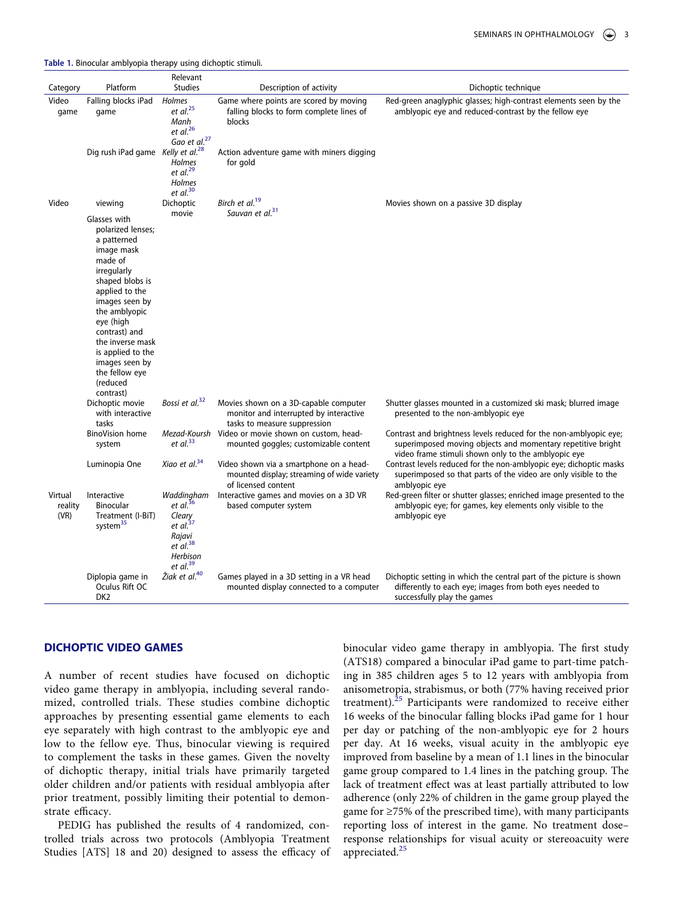<span id="page-3-7"></span><span id="page-3-6"></span><span id="page-3-5"></span><span id="page-3-4"></span><span id="page-3-3"></span><span id="page-3-2"></span><span id="page-3-1"></span>Category Platform Relevant Studies **Description of activity** Dichoptic technique Video game Falling blocks iPad game *Holmes et al*. [25](#page-6-23) *Manh et al*. [26](#page-6-24) *Gao et al*. [27](#page-6-25) Game where points are scored by moving falling blocks to form complete lines of blocks Red-green anaglyphic glasses; high-contrast elements seen by the amblyopic eye and reduced-contrast by the fellow eye Dig rush iPad game *Kelly et al*. [28](#page-7-0) *Holmes et al*. [29](#page-7-1) *Holmes et al*. [30](#page-7-2) Action adventure game with miners digging for gold Video viewing Dichoptic movie *Birch et al*. [19](#page-6-21) *Sauvan et al*. [31](#page-7-3) Movies shown on a passive 3D display Glasses with polarized lenses; a patterned image mask made of irregularly shaped blobs is applied to the images seen by the amblyopic eye (high contrast) and the inverse mask is applied to the images seen by the fellow eye (reduced contrast) Dichoptic movie with interactive tasks *Bossi et al*. Movies shown on a 3D-capable computer monitor and interrupted by interactive tasks to measure suppression Shutter glasses mounted in a customized ski mask; blurred image presented to the non-amblyopic eye BinoVision home system *Mezad-Koursh*  Video or movie shown on custom, head*et al*. [33](#page-7-5) mounted goggles; customizable content Contrast and brightness levels reduced for the non-amblyopic eye; superimposed moving objects and momentary repetitive bright video frame stimuli shown only to the amblyopic eye Luminopia One *Xiao et al*. Video shown via a smartphone on a headmounted display; streaming of wide variety of licensed content Contrast levels reduced for the non-amblyopic eye; dichoptic masks superimposed so that parts of the video are only visible to the amblyopic eye Virtual reality (VR) Interactive Binocular Treatment (I-BiT) system $35$ *Waddingham et al*. [36](#page-7-8) *Cleary et al*. [37](#page-7-9) *Rajavi et al*. [38](#page-7-10) *Herbison et al*. [39](#page-7-11) Interactive games and movies on a 3D VR based computer system Red-green filter or shutter glasses; enriched image presented to the amblyopic eye; for games, key elements only visible to the amblyopic eye Diplopia game in Oculus Rift OC DK2 *Žiak et al*. Games played in a 3D setting in a VR head mounted display connected to a computer Dichoptic setting in which the central part of the picture is shown differently to each eye; images from both eyes needed to successfully play the games

#### <span id="page-3-0"></span>**Table 1.** Binocular amblyopia therapy using dichoptic stimuli.

# <span id="page-3-16"></span><span id="page-3-15"></span><span id="page-3-14"></span><span id="page-3-13"></span><span id="page-3-12"></span><span id="page-3-11"></span><span id="page-3-10"></span><span id="page-3-9"></span><span id="page-3-8"></span>**DICHOPTIC VIDEO GAMES**

A number of recent studies have focused on dichoptic video game therapy in amblyopia, including several randomized, controlled trials. These studies combine dichoptic approaches by presenting essential game elements to each eye separately with high contrast to the amblyopic eye and low to the fellow eye. Thus, binocular viewing is required to complement the tasks in these games. Given the novelty of dichoptic therapy, initial trials have primarily targeted older children and/or patients with residual amblyopia after prior treatment, possibly limiting their potential to demonstrate efficacy.

PEDIG has published the results of 4 randomized, controlled trials across two protocols (Amblyopia Treatment Studies [ATS] 18 and 20) designed to assess the efficacy of binocular video game therapy in amblyopia. The first study (ATS18) compared a binocular iPad game to part-time patching in 385 children ages 5 to 12 years with amblyopia from anisometropia, strabismus, or both (77% having received prior treatment).<sup>25</sup> Participants were randomized to receive either 16 weeks of the binocular falling blocks iPad game for 1 hour per day or patching of the non-amblyopic eye for 2 hours per day. At 16 weeks, visual acuity in the amblyopic eye improved from baseline by a mean of 1.1 lines in the binocular game group compared to 1.4 lines in the patching group. The lack of treatment effect was at least partially attributed to low adherence (only 22% of children in the game group played the game for ≥75% of the prescribed time), with many participants reporting loss of interest in the game. No treatment dose– response relationships for visual acuity or stereoacuity were appreciated.<sup>25</sup>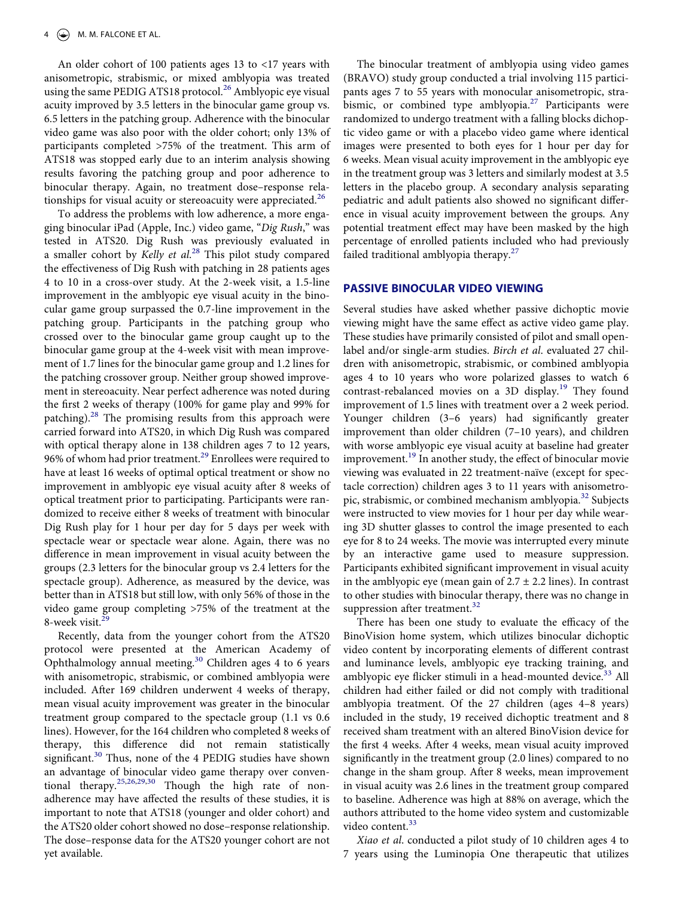An older cohort of 100 patients ages 13 to <17 years with anisometropic, strabismic, or mixed amblyopia was treated using the same PEDIG ATS18 protocol.<sup>[26](#page-6-24)</sup> Amblyopic eye visual acuity improved by 3.5 letters in the binocular game group vs. 6.5 letters in the patching group. Adherence with the binocular video game was also poor with the older cohort; only 13% of participants completed >75% of the treatment. This arm of ATS18 was stopped early due to an interim analysis showing results favoring the patching group and poor adherence to binocular therapy. Again, no treatment dose–response rela-tionships for visual acuity or stereoacuity were appreciated.<sup>[26](#page-6-24)</sup>

To address the problems with low adherence, a more engaging binocular iPad (Apple, Inc.) video game, "*Dig Rush*," was tested in ATS20. Dig Rush was previously evaluated in a smaller cohort by *Kelly et al*. [28](#page-7-0) This pilot study compared the effectiveness of Dig Rush with patching in 28 patients ages 4 to 10 in a cross-over study. At the 2-week visit, a 1.5-line improvement in the amblyopic eye visual acuity in the binocular game group surpassed the 0.7-line improvement in the patching group. Participants in the patching group who crossed over to the binocular game group caught up to the binocular game group at the 4-week visit with mean improvement of 1.7 lines for the binocular game group and 1.2 lines for the patching crossover group. Neither group showed improvement in stereoacuity. Near perfect adherence was noted during the first 2 weeks of therapy (100% for game play and 99% for patching).<sup>[28](#page-7-0)</sup> The promising results from this approach were carried forward into ATS20, in which Dig Rush was compared with optical therapy alone in 138 children ages 7 to 12 years, 96% of whom had prior treatment.<sup>29</sup> Enrollees were required to have at least 16 weeks of optimal optical treatment or show no improvement in amblyopic eye visual acuity after 8 weeks of optical treatment prior to participating. Participants were randomized to receive either 8 weeks of treatment with binocular Dig Rush play for 1 hour per day for 5 days per week with spectacle wear or spectacle wear alone. Again, there was no difference in mean improvement in visual acuity between the groups (2.3 letters for the binocular group vs 2.4 letters for the spectacle group). Adherence, as measured by the device, was better than in ATS18 but still low, with only 56% of those in the video game group completing >75% of the treatment at the 8-week visit.<sup>2</sup>

Recently, data from the younger cohort from the ATS20 protocol were presented at the American Academy of Ophthalmology annual meeting.<sup>[30](#page-7-2)</sup> Children ages 4 to 6 years with anisometropic, strabismic, or combined amblyopia were included. After 169 children underwent 4 weeks of therapy, mean visual acuity improvement was greater in the binocular treatment group compared to the spectacle group (1.1 vs 0.6 lines). However, for the 164 children who completed 8 weeks of therapy, this difference did not remain statistically significant.<sup>[30](#page-7-2)</sup> Thus, none of the 4 PEDIG studies have shown an advantage of binocular video game therapy over conven-tional therapy.<sup>[25](#page-6-23)[,26](#page-6-24),[29](#page-7-1),[30](#page-7-2)</sup> Though the high rate of nonadherence may have affected the results of these studies, it is important to note that ATS18 (younger and older cohort) and the ATS20 older cohort showed no dose–response relationship. The dose–response data for the ATS20 younger cohort are not yet available.

The binocular treatment of amblyopia using video games (BRAVO) study group conducted a trial involving 115 participants ages 7 to 55 years with monocular anisometropic, strabismic, or combined type amblyopia. $27$  Participants were randomized to undergo treatment with a falling blocks dichoptic video game or with a placebo video game where identical images were presented to both eyes for 1 hour per day for 6 weeks. Mean visual acuity improvement in the amblyopic eye in the treatment group was 3 letters and similarly modest at 3.5 letters in the placebo group. A secondary analysis separating pediatric and adult patients also showed no significant difference in visual acuity improvement between the groups. Any potential treatment effect may have been masked by the high percentage of enrolled patients included who had previously failed traditional amblyopia therapy. $27$ 

#### **PASSIVE BINOCULAR VIDEO VIEWING**

Several studies have asked whether passive dichoptic movie viewing might have the same effect as active video game play. These studies have primarily consisted of pilot and small openlabel and/or single-arm studies. *Birch et al*. evaluated 27 children with anisometropic, strabismic, or combined amblyopia ages 4 to 10 years who wore polarized glasses to watch 6 contrast-rebalanced movies on a 3D display.<sup>19</sup> They found improvement of 1.5 lines with treatment over a 2 week period. Younger children (3–6 years) had significantly greater improvement than older children (7–10 years), and children with worse amblyopic eye visual acuity at baseline had greater improvement.<sup>19</sup> In another study, the effect of binocular movie viewing was evaluated in 22 treatment-naïve (except for spectacle correction) children ages 3 to 11 years with anisometropic, strabismic, or combined mechanism amblyopia.<sup>32</sup> Subjects were instructed to view movies for 1 hour per day while wearing 3D shutter glasses to control the image presented to each eye for 8 to 24 weeks. The movie was interrupted every minute by an interactive game used to measure suppression. Participants exhibited significant improvement in visual acuity in the amblyopic eye (mean gain of  $2.7 \pm 2.2$  lines). In contrast to other studies with binocular therapy, there was no change in suppression after treatment. $32$ 

There has been one study to evaluate the efficacy of the BinoVision home system, which utilizes binocular dichoptic video content by incorporating elements of different contrast and luminance levels, amblyopic eye tracking training, and amblyopic eye flicker stimuli in a head-mounted device.<sup>33</sup> All children had either failed or did not comply with traditional amblyopia treatment. Of the 27 children (ages 4–8 years) included in the study, 19 received dichoptic treatment and 8 received sham treatment with an altered BinoVision device for the first 4 weeks. After 4 weeks, mean visual acuity improved significantly in the treatment group (2.0 lines) compared to no change in the sham group. After 8 weeks, mean improvement in visual acuity was 2.6 lines in the treatment group compared to baseline. Adherence was high at 88% on average, which the authors attributed to the home video system and customizable video content.<sup>[33](#page-7-5)</sup>

*Xiao et al*. conducted a pilot study of 10 children ages 4 to 7 years using the Luminopia One therapeutic that utilizes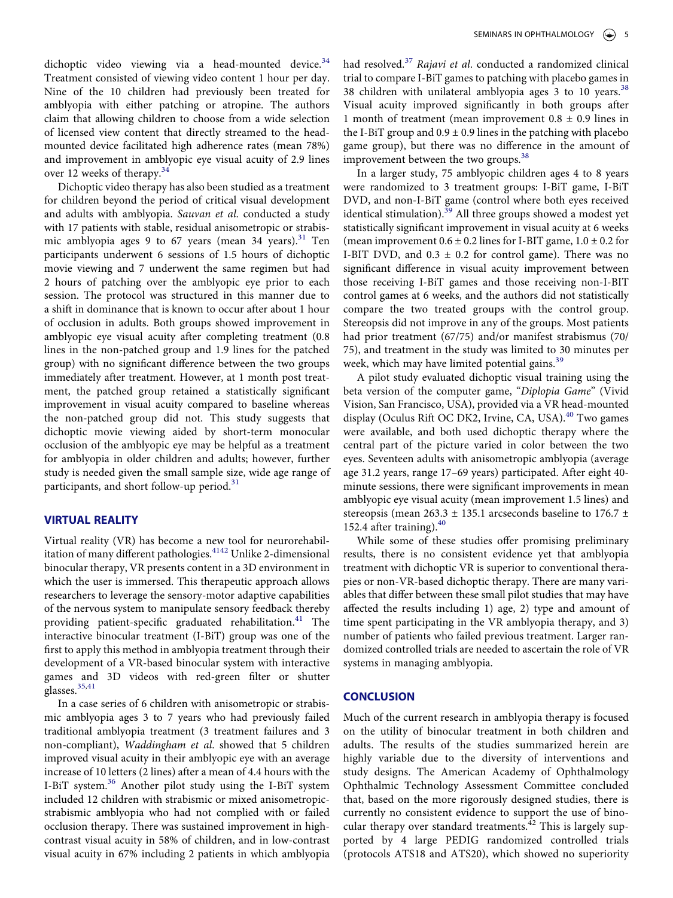dichoptic video viewing via a head-mounted device. $34$ Treatment consisted of viewing video content 1 hour per day. Nine of the 10 children had previously been treated for amblyopia with either patching or atropine. The authors claim that allowing children to choose from a wide selection of licensed view content that directly streamed to the headmounted device facilitated high adherence rates (mean 78%) and improvement in amblyopic eye visual acuity of 2.9 lines over 12 weeks of therapy.<sup>34</sup>

Dichoptic video therapy has also been studied as a treatment for children beyond the period of critical visual development and adults with amblyopia. *Sauvan et al*. conducted a study with 17 patients with stable, residual anisometropic or strabis-mic amblyopia ages 9 to 67 years (mean 34 years).<sup>[31](#page-7-3)</sup> Ten participants underwent 6 sessions of 1.5 hours of dichoptic movie viewing and 7 underwent the same regimen but had 2 hours of patching over the amblyopic eye prior to each session. The protocol was structured in this manner due to a shift in dominance that is known to occur after about 1 hour of occlusion in adults. Both groups showed improvement in amblyopic eye visual acuity after completing treatment (0.8 lines in the non-patched group and 1.9 lines for the patched group) with no significant difference between the two groups immediately after treatment. However, at 1 month post treatment, the patched group retained a statistically significant improvement in visual acuity compared to baseline whereas the non-patched group did not. This study suggests that dichoptic movie viewing aided by short-term monocular occlusion of the amblyopic eye may be helpful as a treatment for amblyopia in older children and adults; however, further study is needed given the small sample size, wide age range of participants, and short follow-up period.<sup>[31](#page-7-3)</sup>

# **VIRTUAL REALITY**

<span id="page-5-1"></span>Virtual reality (VR) has become a new tool for neurorehabil-itation of many different pathologies.<sup>41[42](#page-7-14)</sup> Unlike 2-dimensional binocular therapy, VR presents content in a 3D environment in which the user is immersed. This therapeutic approach allows researchers to leverage the sensory-motor adaptive capabilities of the nervous system to manipulate sensory feedback thereby providing patient-specific graduated rehabilitation.<sup>[41](#page-7-13)</sup> The interactive binocular treatment (I-BiT) group was one of the first to apply this method in amblyopia treatment through their development of a VR-based binocular system with interactive games and 3D videos with red-green filter or shutter glasses.<sup>35[,41](#page-7-13)</sup>

<span id="page-5-0"></span>In a case series of 6 children with anisometropic or strabismic amblyopia ages 3 to 7 years who had previously failed traditional amblyopia treatment (3 treatment failures and 3 non-compliant), *Waddingham et al*. showed that 5 children improved visual acuity in their amblyopic eye with an average increase of 10 letters (2 lines) after a mean of 4.4 hours with the I-BiT system.<sup>[36](#page-7-8)</sup> Another pilot study using the I-BiT system included 12 children with strabismic or mixed anisometropicstrabismic amblyopia who had not complied with or failed occlusion therapy. There was sustained improvement in highcontrast visual acuity in 58% of children, and in low-contrast visual acuity in 67% including 2 patients in which amblyopia

had resolved.[37](#page-7-9) *Rajavi et al*. conducted a randomized clinical trial to compare I-BiT games to patching with placebo games in [38](#page-7-10) children with unilateral amblyopia ages  $3$  to 10 years.<sup>38</sup> Visual acuity improved significantly in both groups after 1 month of treatment (mean improvement  $0.8 \pm 0.9$  lines in the I-BiT group and  $0.9 \pm 0.9$  lines in the patching with placebo game group), but there was no difference in the amount of improvement between the two groups.<sup>[38](#page-7-10)</sup>

In a larger study, 75 amblyopic children ages 4 to 8 years were randomized to 3 treatment groups: I-BiT game, I-BiT DVD, and non-I-BiT game (control where both eyes received identical stimulation).<sup>[39](#page-7-11)</sup> All three groups showed a modest yet statistically significant improvement in visual acuity at 6 weeks (mean improvement  $0.6 \pm 0.2$  lines for I-BIT game,  $1.0 \pm 0.2$  for I-BIT DVD, and  $0.3 \pm 0.2$  for control game). There was no significant difference in visual acuity improvement between those receiving I-BiT games and those receiving non-I-BIT control games at 6 weeks, and the authors did not statistically compare the two treated groups with the control group. Stereopsis did not improve in any of the groups. Most patients had prior treatment (67/75) and/or manifest strabismus (70/ 75), and treatment in the study was limited to 30 minutes per week, which may have limited potential gains.<sup>[39](#page-7-11)</sup>

A pilot study evaluated dichoptic visual training using the beta version of the computer game, "*Diplopia Game*" (Vivid Vision, San Francisco, USA), provided via a VR head-mounted display (Oculus Rift OC DK2, Irvine, CA, USA).<sup>40</sup> Two games were available, and both used dichoptic therapy where the central part of the picture varied in color between the two eyes. Seventeen adults with anisometropic amblyopia (average age 31.2 years, range 17–69 years) participated. After eight 40 minute sessions, there were significant improvements in mean amblyopic eye visual acuity (mean improvement 1.5 lines) and stereopsis (mean 263.3  $\pm$  135.1 arcseconds baseline to 176.7  $\pm$ 152.4 after training).<sup>40</sup>

While some of these studies offer promising preliminary results, there is no consistent evidence yet that amblyopia treatment with dichoptic VR is superior to conventional therapies or non-VR-based dichoptic therapy. There are many variables that differ between these small pilot studies that may have affected the results including 1) age, 2) type and amount of time spent participating in the VR amblyopia therapy, and 3) number of patients who failed previous treatment. Larger randomized controlled trials are needed to ascertain the role of VR systems in managing amblyopia.

#### **CONCLUSION**

Much of the current research in amblyopia therapy is focused on the utility of binocular treatment in both children and adults. The results of the studies summarized herein are highly variable due to the diversity of interventions and study designs. The American Academy of Ophthalmology Ophthalmic Technology Assessment Committee concluded that, based on the more rigorously designed studies, there is currently no consistent evidence to support the use of binocular therapy over standard treatments.<sup>42</sup> This is largely supported by 4 large PEDIG randomized controlled trials (protocols ATS18 and ATS20), which showed no superiority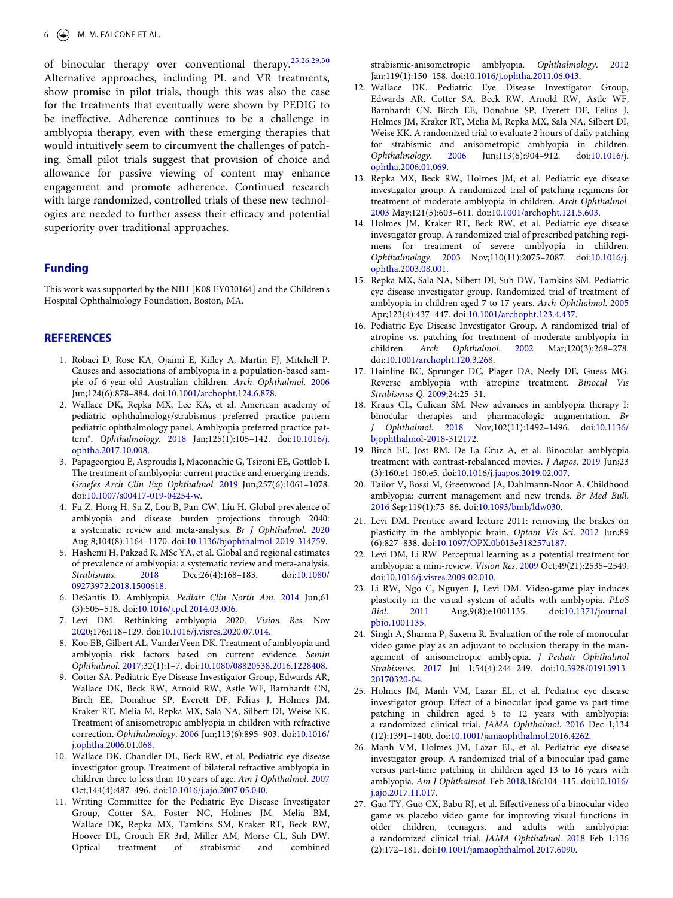of binocular therapy over conventional therapy.[25,](#page-6-23)[26,](#page-6-24)[29,](#page-7-1)[30](#page-7-2) Alternative approaches, including PL and VR treatments, show promise in pilot trials, though this was also the case for the treatments that eventually were shown by PEDIG to be ineffective. Adherence continues to be a challenge in amblyopia therapy, even with these emerging therapies that would intuitively seem to circumvent the challenges of patching. Small pilot trials suggest that provision of choice and allowance for passive viewing of content may enhance engagement and promote adherence. Continued research with large randomized, controlled trials of these new technologies are needed to further assess their efficacy and potential superiority over traditional approaches.

### **Funding**

This work was supported by the NIH [K08 EY030164] and the Children's Hospital Ophthalmology Foundation, Boston, MA.

#### **REFERENCES**

- <span id="page-6-0"></span>1. Robaei D, Rose KA, Ojaimi E, Kifley A, Martin FJ, Mitchell P. Causes and associations of amblyopia in a population-based sample of 6-year-old Australian children. *Arch Ophthalmol*. [2006](#page-1-2)  Jun;124(6):878–884. doi:[10.1001/archopht.124.6.878](https://doi.org/10.1001/archopht.124.6.878).
- <span id="page-6-1"></span>2. Wallace DK, Repka MX, Lee KA, et al. American academy of pediatric ophthalmology/strabismus preferred practice pattern pediatric ophthalmology panel. Amblyopia preferred practice pattern®. *Ophthalmology*. [2018](#page-1-3) Jan;125(1):105–142. doi:[10.1016/j.](https://doi.org/10.1016/j.ophtha.2017.10.008) [ophtha.2017.10.008](https://doi.org/10.1016/j.ophtha.2017.10.008).
- <span id="page-6-2"></span>3. Papageorgiou E, Asproudis I, Maconachie G, Tsironi EE, Gottlob I. The treatment of amblyopia: current practice and emerging trends. *Graefes Arch Clin Exp Ophthalmol*. [2019](#page-1-4) Jun;257(6):1061–1078. doi:[10.1007/s00417-019-04254-w.](https://doi.org/10.1007/s00417-019-04254-w)
- <span id="page-6-3"></span>4. Fu Z, Hong H, Su Z, Lou B, Pan CW, Liu H. Global prevalence of amblyopia and disease burden projections through 2040: a systematic review and meta-analysis. *Br J Ophthalmol*. [2020](#page-1-5)  Aug 8;104(8):1164–1170. doi:[10.1136/bjophthalmol-2019-314759](https://doi.org/10.1136/bjophthalmol-2019-314759).
- <span id="page-6-4"></span>5. Hashemi H, Pakzad R, MSc YA, et al. Global and regional estimates of prevalence of amblyopia: a systematic review and meta-analysis. *Strabismus*. [2018](#page-1-5) Dec;26(4):168–183. doi:[10.1080/](https://doi.org/10.1080/09273972.2018.1500618)  [09273972.2018.1500618.](https://doi.org/10.1080/09273972.2018.1500618)
- <span id="page-6-5"></span>6. DeSantis D. Amblyopia. *Pediatr Clin North Am*. [2014](#page-1-6) Jun;61 (3):505–518. doi:[10.1016/j.pcl.2014.03.006.](https://doi.org/10.1016/j.pcl.2014.03.006)
- <span id="page-6-6"></span>7. Levi DM. Rethinking amblyopia 2020. *Vision Res*. Nov [2020;](#page-1-7)176:118–129. doi:[10.1016/j.visres.2020.07.014](https://doi.org/10.1016/j.visres.2020.07.014).
- <span id="page-6-7"></span>8. Koo EB, Gilbert AL, VanderVeen DK. Treatment of amblyopia and amblyopia risk factors based on current evidence. *Semin Ophthalmol*. [2017;](#page-1-8)32(1):1–7. doi:[10.1080/08820538.2016.1228408](https://doi.org/10.1080/08820538.2016.1228408).
- <span id="page-6-8"></span>9. Cotter SA. Pediatric Eye Disease Investigator Group, Edwards AR, Wallace DK, Beck RW, Arnold RW, Astle WF, Barnhardt CN, Birch EE, Donahue SP, Everett DF, Felius J, Holmes JM, Kraker RT, Melia M, Repka MX, Sala NA, Silbert DI, Weise KK. Treatment of anisometropic amblyopia in children with refractive correction. *Ophthalmology*. [2006](#page-1-9) Jun;113(6):895–903. doi:[10.1016/](https://doi.org/10.1016/j.ophtha.2006.01.068)  [j.ophtha.2006.01.068](https://doi.org/10.1016/j.ophtha.2006.01.068).
- 10. Wallace DK, Chandler DL, Beck RW, et al. Pediatric eye disease investigator group. Treatment of bilateral refractive amblyopia in children three to less than 10 years of age. *Am J Ophthalmol*. 2007 Oct;144(4):487–496. doi:[10.1016/j.ajo.2007.05.040](https://doi.org/10.1016/j.ajo.2007.05.040).
- <span id="page-6-9"></span>11. Writing Committee for the Pediatric Eye Disease Investigator Group, Cotter SA, Foster NC, Holmes JM, Melia BM, Wallace DK, Repka MX, Tamkins SM, Kraker RT, Beck RW, Hoover DL, Crouch ER 3rd, Miller AM, Morse CL, Suh DW. Optical treatment of strabismic and combined

strabismic-anisometropic amblyopia. *Ophthalmology*. [2012](#page-1-10) Jan;119(1):150–158. doi:[10.1016/j.ophtha.2011.06.043.](https://doi.org/10.1016/j.ophtha.2011.06.043)

- <span id="page-6-10"></span>12. Wallace DK. Pediatric Eye Disease Investigator Group, Edwards AR, Cotter SA, Beck RW, Arnold RW, Astle WF, Barnhardt CN, Birch EE, Donahue SP, Everett DF, Felius J, Holmes JM, Kraker RT, Melia M, Repka MX, Sala NA, Silbert DI, Weise KK. A randomized trial to evaluate 2 hours of daily patching for strabismic and anisometropic amblyopia in children. *Ophthalmology*. [2006](#page-1-10) Jun;113(6):904–912. doi:[10.1016/j.](https://doi.org/10.1016/j.ophtha.2006.01.069)  [ophtha.2006.01.069](https://doi.org/10.1016/j.ophtha.2006.01.069).
- <span id="page-6-11"></span>13. Repka MX, Beck RW, Holmes JM, et al. Pediatric eye disease investigator group. A randomized trial of patching regimens for treatment of moderate amblyopia in children. *Arch Ophthalmol*. [2003](#page-1-11) May;121(5):603–611. doi:[10.1001/archopht.121.5.603](https://doi.org/10.1001/archopht.121.5.603).
- <span id="page-6-12"></span>14. Holmes JM, Kraker RT, Beck RW, et al. Pediatric eye disease investigator group. A randomized trial of prescribed patching regimens for treatment of severe amblyopia in children. *Ophthalmology*. [2003](#page-1-11) Nov;110(11):2075–2087. doi:[10.1016/j.](https://doi.org/10.1016/j.ophtha.2003.08.001)  [ophtha.2003.08.001](https://doi.org/10.1016/j.ophtha.2003.08.001).
- <span id="page-6-13"></span>15. Repka MX, Sala NA, Silbert DI, Suh DW, Tamkins SM. Pediatric eye disease investigator group. Randomized trial of treatment of amblyopia in children aged 7 to 17 years. *Arch Ophthalmol*. [2005](#page-1-12) Apr;123(4):437–447. doi:[10.1001/archopht.123.4.437.](https://doi.org/10.1001/archopht.123.4.437)
- <span id="page-6-14"></span>16. Pediatric Eye Disease Investigator Group. A randomized trial of atropine vs. patching for treatment of moderate amblyopia in children. Arch Ophthalmol. 2002 Mar;120(3):268-278. children. *Arch Ophthalmol*. [2002](#page-1-13) Mar;120(3):268–278. doi:[10.1001/archopht.120.3.268.](https://doi.org/10.1001/archopht.120.3.268)
- <span id="page-6-15"></span>17. Hainline BC, Sprunger DC, Plager DA, Neely DE, Guess MG. Reverse amblyopia with atropine treatment. *Binocul Vis Strabismus Q*. [2009;](#page-1-14)24:25–31.
- <span id="page-6-16"></span>18. Kraus CL, Culican SM. New advances in amblyopia therapy I: binocular therapies and pharmacologic augmentation. *Br J Ophthalmol*. [2018](#page-2-0) Nov;102(11):1492–1496. doi:[10.1136/](https://doi.org/10.1136/bjophthalmol-2018-312172)  [bjophthalmol-2018-312172.](https://doi.org/10.1136/bjophthalmol-2018-312172)
- <span id="page-6-21"></span>19. Birch EE, Jost RM, De La Cruz A, et al. Binocular amblyopia treatment with contrast-rebalanced movies. *J Aapos*. [2019](#page-2-1) Jun;23 (3):160.e1-160.e5. doi:[10.1016/j.jaapos.2019.02.007.](https://doi.org/10.1016/j.jaapos.2019.02.007)
- <span id="page-6-22"></span>20. Tailor V, Bossi M, Greenwood JA, Dahlmann-Noor A. Childhood amblyopia: current management and new trends. *Br Med Bull*. [2016](#page-2-2) Sep;119(1):75–86. doi:[10.1093/bmb/ldw030.](https://doi.org/10.1093/bmb/ldw030)
- <span id="page-6-17"></span>21. Levi DM. Prentice award lecture 2011: removing the brakes on plasticity in the amblyopic brain. *Optom Vis Sci*. [2012](#page-2-3) Jun;89 (6):827–838. doi:[10.1097/OPX.0b013e318257a187](https://doi.org/10.1097/OPX.0b013e318257a187).
- <span id="page-6-18"></span>22. Levi DM, Li RW. Perceptual learning as a potential treatment for amblyopia: a mini-review. *Vision Res*. [2009](#page-2-4) Oct;49(21):2535–2549. doi:[10.1016/j.visres.2009.02.010.](https://doi.org/10.1016/j.visres.2009.02.010)
- <span id="page-6-19"></span>23. Li RW, Ngo C, Nguyen J, Levi DM. Video-game play induces plasticity in the visual system of adults with amblyopia. *PLoS Biol*. [2011](#page-2-5) Aug;9(8):e1001135. doi:[10.1371/journal.](https://doi.org/10.1371/journal.pbio.1001135) [pbio.1001135](https://doi.org/10.1371/journal.pbio.1001135).
- <span id="page-6-20"></span>24. Singh A, Sharma P, Saxena R. Evaluation of the role of monocular video game play as an adjuvant to occlusion therapy in the management of anisometropic amblyopia. *J Pediatr Ophthalmol Strabismus*. [2017](#page-2-6) Jul 1;54(4):244–249. doi:[10.3928/01913913-](https://doi.org/10.3928/01913913-20170320-04) [20170320-04](https://doi.org/10.3928/01913913-20170320-04).
- <span id="page-6-23"></span>25. Holmes JM, Manh VM, Lazar EL, et al. Pediatric eye disease investigator group. Effect of a binocular ipad game vs part-time patching in children aged 5 to 12 years with amblyopia: a randomized clinical trial. *JAMA Ophthalmol*. [2016](#page-3-1) Dec 1;134 (12):1391–1400. doi:[10.1001/jamaophthalmol.2016.4262.](https://doi.org/10.1001/jamaophthalmol.2016.4262)
- <span id="page-6-24"></span>26. Manh VM, Holmes JM, Lazar EL, et al. Pediatric eye disease investigator group. A randomized trial of a binocular ipad game versus part-time patching in children aged 13 to 16 years with amblyopia. *Am J Ophthalmol*. Feb [2018](#page-3-2);186:104–115. doi:[10.1016/](https://doi.org/10.1016/j.ajo.2017.11.017)  [j.ajo.2017.11.017](https://doi.org/10.1016/j.ajo.2017.11.017).
- <span id="page-6-25"></span>27. Gao TY, Guo CX, Babu RJ, et al. Effectiveness of a binocular video game vs placebo video game for improving visual functions in older children, teenagers, and adults with amblyopia: a randomized clinical trial. *JAMA Ophthalmol*. [2018](#page-3-3) Feb 1;136 (2):172–181. doi:[10.1001/jamaophthalmol.2017.6090.](https://doi.org/10.1001/jamaophthalmol.2017.6090)